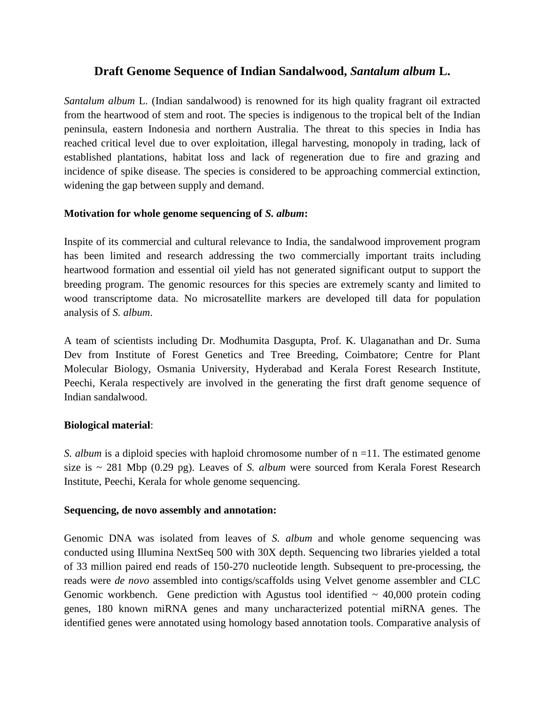# **Draft Genome Sequence of Indian Sandalwood,** *Santalum album* **L.**

*Santalum album* L. (Indian sandalwood) is renowned for its high quality fragrant oil extracted from the heartwood of stem and root. The species is indigenous to the tropical belt of the Indian peninsula, eastern Indonesia and northern Australia. The threat to this species in India has reached critical level due to over exploitation, illegal harvesting, monopoly in trading, lack of established plantations, habitat loss and lack of regeneration due to fire and grazing and incidence of spike disease. The species is considered to be approaching commercial extinction, widening the gap between supply and demand.

### **Motivation for whole genome sequencing of** *S. album***:**

Inspite of its commercial and cultural relevance to India, the sandalwood improvement program has been limited and research addressing the two commercially important traits including heartwood formation and essential oil yield has not generated significant output to support the breeding program. The genomic resources for this species are extremely scanty and limited to wood transcriptome data. No microsatellite markers are developed till data for population analysis of *S. album*.

A team of scientists including Dr. Modhumita Dasgupta, Prof. K. Ulaganathan and Dr. Suma Dev from Institute of Forest Genetics and Tree Breeding, Coimbatore; Centre for Plant Molecular Biology, Osmania University, Hyderabad and Kerala Forest Research Institute, Peechi, Kerala respectively are involved in the generating the first draft genome sequence of Indian sandalwood.

## **Biological material**:

*S. album* is a diploid species with haploid chromosome number of n =11. The estimated genome size is ~ 281 Mbp (0.29 pg). Leaves of *S. album* were sourced from Kerala Forest Research Institute, Peechi, Kerala for whole genome sequencing.

#### **Sequencing, de novo assembly and annotation:**

Genomic DNA was isolated from leaves of *S. album* and whole genome sequencing was conducted using Illumina NextSeq 500 with 30X depth. Sequencing two libraries yielded a total of 33 million paired end reads of 150-270 nucleotide length. Subsequent to pre-processing, the reads were *de novo* assembled into contigs/scaffolds using Velvet genome assembler and CLC Genomic workbench. Gene prediction with Agustus tool identified  $\sim$  40,000 protein coding genes, 180 known miRNA genes and many uncharacterized potential miRNA genes. The identified genes were annotated using homology based annotation tools. Comparative analysis of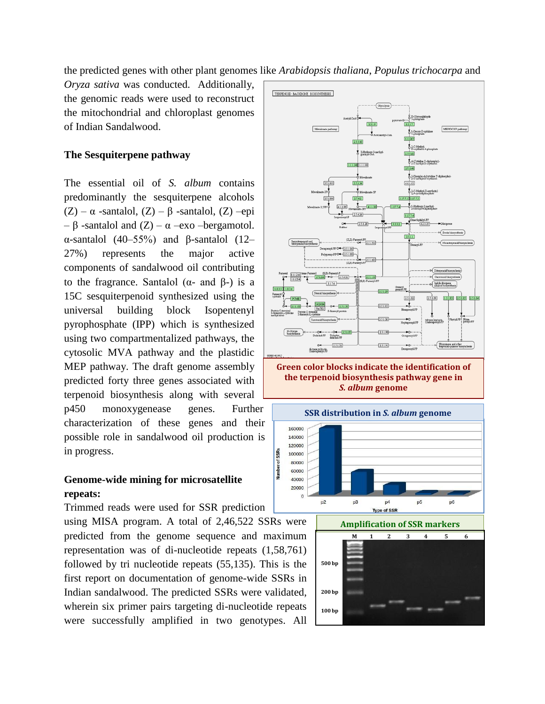the predicted genes with other plant genomes like *Arabidopsis thaliana*, *Populus trichocarpa* and

*Oryza sativa* was conducted. Additionally, the genomic reads were used to reconstruct the mitochondrial and chloroplast genomes of Indian Sandalwood.

#### **The Sesquiterpene pathway**

The essential oil of *S. album* contains predominantly the sesquiterpene alcohols (Z) –  $\alpha$  -santalol, (Z) –  $\beta$  -santalol, (Z) –epi – β -santalol and (Z) – α –exo –bergamotol. α-santalol (40–55%) and β-santalol (12– 27%) represents the major active components of sandalwood oil contributing to the fragrance. Santalol ( $\alpha$ - and  $\beta$ -) is a 15C sesquiterpenoid synthesized using the universal building block Isopentenyl pyrophosphate (IPP) which is synthesized using two compartmentalized pathways, the cytosolic MVA pathway and the plastidic MEP pathway. The draft genome assembly predicted forty three genes associated with terpenoid biosynthesis along with several p450 monoxygenease genes. Further characterization of these genes and their possible role in sandalwood oil production is in progress.

## **Genome-wide mining for microsatellite repeats:**

Trimmed reads were used for SSR prediction

using MISA program. A total of 2,46,522 SSRs were predicted from the genome sequence and maximum representation was of di-nucleotide repeats (1,58,761) followed by tri nucleotide repeats (55,135). This is the first report on documentation of genome-wide SSRs in Indian sandalwood. The predicted SSRs were validated, wherein six primer pairs targeting di-nucleotide repeats were successfully amplified in two genotypes. All



**Green color blocks indicate the identification of the terpenoid biosynthesis pathway gene in**  *S. album* **genome**